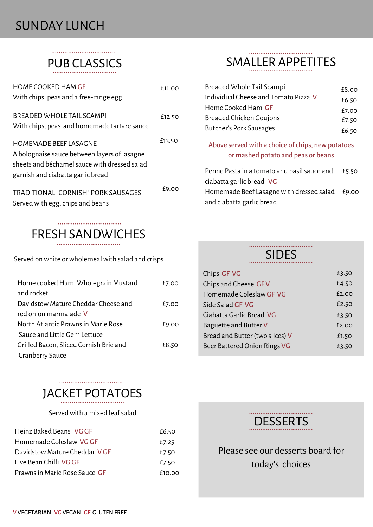### SUNDAY LUNCH

................................. PUB CLASSICS

| <b>HOME COOKED HAM GF</b>                    | f11.OO |
|----------------------------------------------|--------|
| With chips, peas and a free-range egg        |        |
| BREADED WHOLE TAIL SCAMPL                    | £12.50 |
| With chips, peas and homemade tartare sauce  |        |
| <b>HOMEMADE BEEF LASAGNE</b>                 | £13.50 |
| A bolognaise sauce between layers of lasagne |        |
| sheets and béchamel sauce with dressed salad |        |
| garnish and ciabatta garlic bread            |        |
| TRADITIONAL "CORNISH" PORK SAUSAGES          | £9.00  |
| Served with egg, chips and beans             |        |

#### **FRESH SANDWICHES**

Served on white or wholemeal with salad and crisps

| Home cooked Ham, Wholegrain Mustard    | £7.00 |
|----------------------------------------|-------|
| and rocket                             |       |
| Davidstow Mature Cheddar Cheese and    | £7.00 |
| red onion marmalade V                  |       |
| North Atlantic Prawns in Marie Rose    | £9.00 |
| Sauce and Little Gem Lettuce           |       |
| Grilled Bacon, Sliced Cornish Brie and | £8.50 |
| <b>Cranberry Sauce</b>                 |       |

## JACKET POTATOES

Served with a mixed leaf salad

| Heinz Baked Beans, VG GF             | £6.50  |
|--------------------------------------|--------|
| Homemade Coleslaw VG GF              | £7.25  |
| Davidstow Mature Cheddar V GF        | £7.50  |
| Five Bean Chilli VG GF               | £7.50  |
| Prawns in Marie Rose Sauce <b>GF</b> | f10.00 |

#### SMALLER APPETITES

| Breaded Whole Tail Scampi                                                               | £8.00 |
|-----------------------------------------------------------------------------------------|-------|
| Individual Cheese and Tomato Pizza V                                                    | £6.50 |
| Home Cooked Ham <b>GF</b>                                                               | £7.00 |
| <b>Breaded Chicken Goujons</b>                                                          | £7.50 |
| Butcher's Pork Sausages                                                                 | £6.50 |
| Above served with a choice of chips, new potatoes<br>or mashed potato and peas or beans |       |
| Penne Pasta in a tomato and basil sauce and<br>ciabatta garlic bread VG                 | £5.50 |
| Homemade Beef Lasagne with dressed salad<br>and ciabatta garlic bread                   | £9.00 |

#### SIDES

| Chips <b>GF VG</b>              | £3.50 |
|---------------------------------|-------|
| Chips and Cheese GFV            | £4.50 |
| Homemade Coleslaw GF VG         | f2.00 |
| Side Salad GF VG                | £2.50 |
| Ciabatta Garlic Bread VG        | £3.50 |
| Baguette and Butter V           | f2.00 |
| Bread and Butter (two slices) V | £1.50 |
| Beer Battered Onion Rings VG    | £3.50 |
|                                 |       |



Please see our desserts board for today's choices